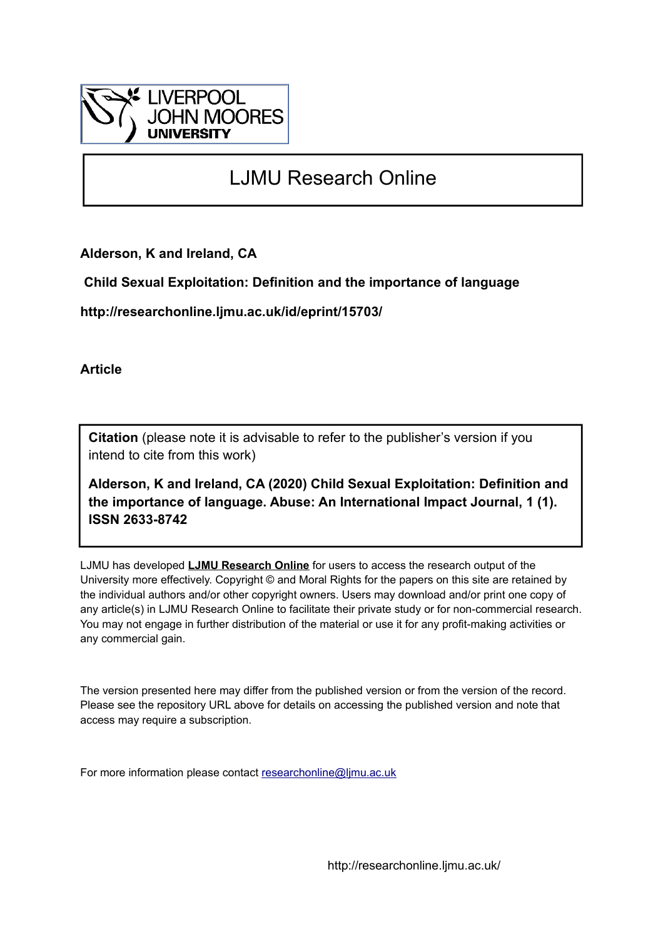

# LJMU Research Online

**Alderson, K and Ireland, CA**

 **Child Sexual Exploitation: Definition and the importance of language**

**http://researchonline.ljmu.ac.uk/id/eprint/15703/**

**Article**

**Citation** (please note it is advisable to refer to the publisher's version if you intend to cite from this work)

**Alderson, K and Ireland, CA (2020) Child Sexual Exploitation: Definition and the importance of language. Abuse: An International Impact Journal, 1 (1). ISSN 2633-8742** 

LJMU has developed **[LJMU Research Online](http://researchonline.ljmu.ac.uk/)** for users to access the research output of the University more effectively. Copyright © and Moral Rights for the papers on this site are retained by the individual authors and/or other copyright owners. Users may download and/or print one copy of any article(s) in LJMU Research Online to facilitate their private study or for non-commercial research. You may not engage in further distribution of the material or use it for any profit-making activities or any commercial gain.

The version presented here may differ from the published version or from the version of the record. Please see the repository URL above for details on accessing the published version and note that access may require a subscription.

For more information please contact [researchonline@ljmu.ac.uk](mailto:researchonline@ljmu.ac.uk)

http://researchonline.ljmu.ac.uk/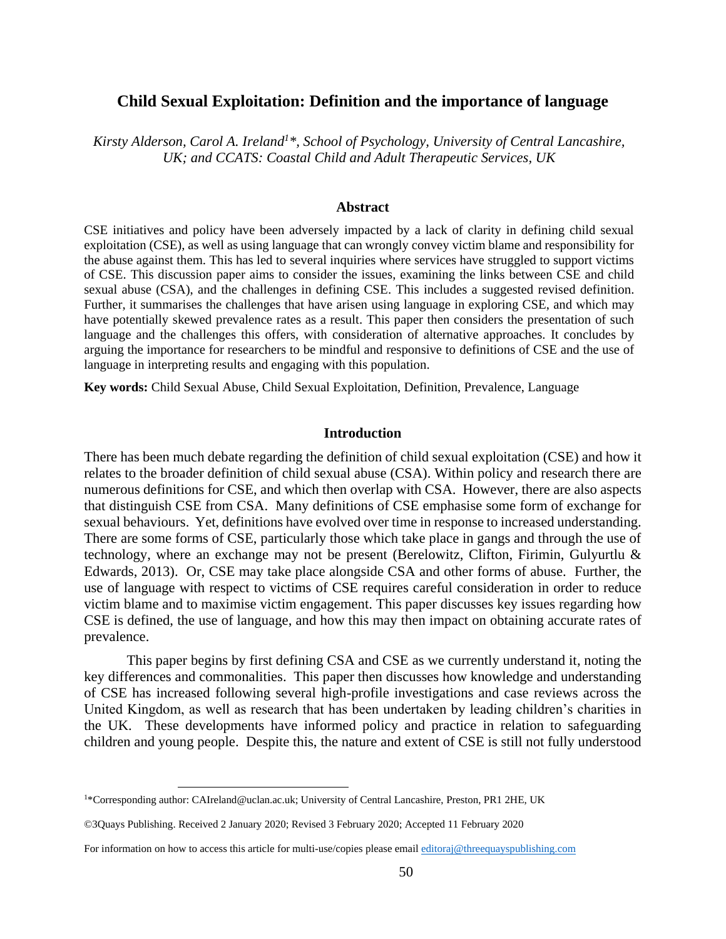# **Child Sexual Exploitation: Definition and the importance of language**

*Kirsty Alderson, Carol A. Ireland<sup>1</sup>\*, School of Psychology, University of Central Lancashire, UK; and CCATS: Coastal Child and Adult Therapeutic Services, UK*

#### **Abstract**

CSE initiatives and policy have been adversely impacted by a lack of clarity in defining child sexual exploitation (CSE), as well as using language that can wrongly convey victim blame and responsibility for the abuse against them. This has led to several inquiries where services have struggled to support victims of CSE. This discussion paper aims to consider the issues, examining the links between CSE and child sexual abuse (CSA), and the challenges in defining CSE. This includes a suggested revised definition. Further, it summarises the challenges that have arisen using language in exploring CSE, and which may have potentially skewed prevalence rates as a result. This paper then considers the presentation of such language and the challenges this offers, with consideration of alternative approaches. It concludes by arguing the importance for researchers to be mindful and responsive to definitions of CSE and the use of language in interpreting results and engaging with this population.

**Key words:** Child Sexual Abuse, Child Sexual Exploitation, Definition, Prevalence, Language

## **Introduction**

There has been much debate regarding the definition of child sexual exploitation (CSE) and how it relates to the broader definition of child sexual abuse (CSA). Within policy and research there are numerous definitions for CSE, and which then overlap with CSA. However, there are also aspects that distinguish CSE from CSA. Many definitions of CSE emphasise some form of exchange for sexual behaviours. Yet, definitions have evolved over time in response to increased understanding. There are some forms of CSE, particularly those which take place in gangs and through the use of technology, where an exchange may not be present (Berelowitz, Clifton, Firimin, Gulyurtlu & Edwards, 2013). Or, CSE may take place alongside CSA and other forms of abuse. Further, the use of language with respect to victims of CSE requires careful consideration in order to reduce victim blame and to maximise victim engagement. This paper discusses key issues regarding how CSE is defined, the use of language, and how this may then impact on obtaining accurate rates of prevalence.

This paper begins by first defining CSA and CSE as we currently understand it, noting the key differences and commonalities. This paper then discusses how knowledge and understanding of CSE has increased following several high-profile investigations and case reviews across the United Kingdom, as well as research that has been undertaken by leading children's charities in the UK. These developments have informed policy and practice in relation to safeguarding children and young people. Despite this, the nature and extent of CSE is still not fully understood

<u>.</u>

<sup>1</sup>\*Corresponding author: CAIreland@uclan.ac.uk; University of Central Lancashire, Preston, PR1 2HE, UK

<sup>©3</sup>Quays Publishing. Received 2 January 2020; Revised 3 February 2020; Accepted 11 February 2020

For information on how to access this article for multi-use/copies please emai[l editoraj@threequayspublishing.com](mailto:editoraj@threequayspublishing.com)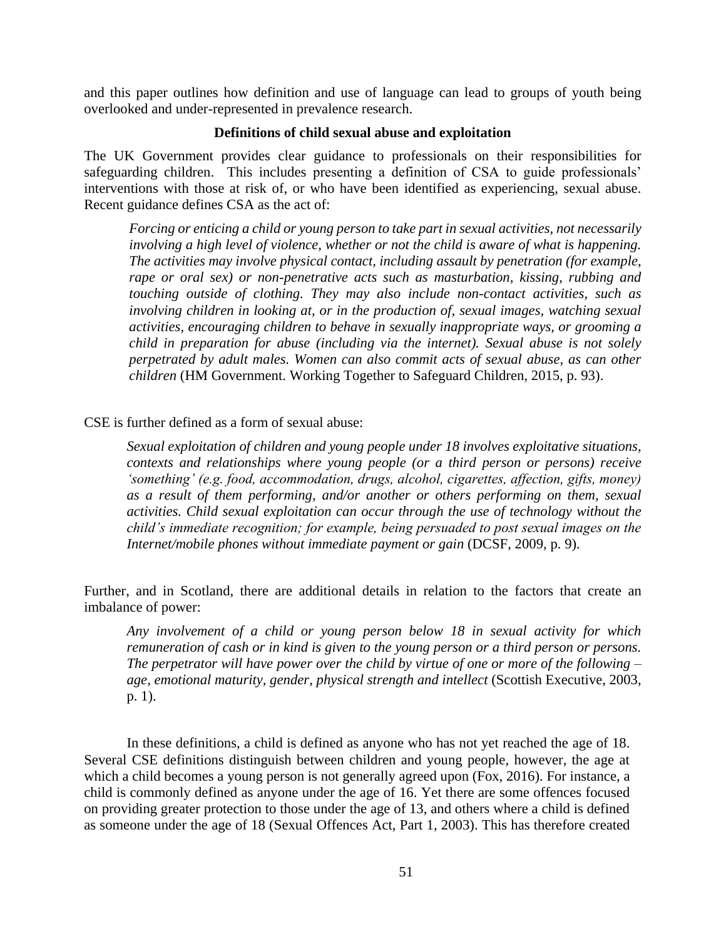and this paper outlines how definition and use of language can lead to groups of youth being overlooked and under-represented in prevalence research.

# **Definitions of child sexual abuse and exploitation**

The UK Government provides clear guidance to professionals on their responsibilities for safeguarding children. This includes presenting a definition of CSA to guide professionals' interventions with those at risk of, or who have been identified as experiencing, sexual abuse. Recent guidance defines CSA as the act of:

*Forcing or enticing a child or young person to take part in sexual activities, not necessarily involving a high level of violence, whether or not the child is aware of what is happening. The activities may involve physical contact, including assault by penetration (for example, rape or oral sex) or non-penetrative acts such as masturbation, kissing, rubbing and touching outside of clothing. They may also include non-contact activities, such as involving children in looking at, or in the production of, sexual images, watching sexual activities, encouraging children to behave in sexually inappropriate ways, or grooming a child in preparation for abuse (including via the internet). Sexual abuse is not solely perpetrated by adult males. Women can also commit acts of sexual abuse, as can other children* (HM Government. Working Together to Safeguard Children, 2015, p. 93).

CSE is further defined as a form of sexual abuse:

*Sexual exploitation of children and young people under 18 involves exploitative situations, contexts and relationships where young people (or a third person or persons) receive 'something' (e.g. food, accommodation, drugs, alcohol, cigarettes, affection, gifts, money) as a result of them performing, and/or another or others performing on them, sexual activities. Child sexual exploitation can occur through the use of technology without the child's immediate recognition; for example, being persuaded to post sexual images on the Internet/mobile phones without immediate payment or gain* (DCSF, 2009, p. 9).

Further, and in Scotland, there are additional details in relation to the factors that create an imbalance of power:

*Any involvement of a child or young person below 18 in sexual activity for which remuneration of cash or in kind is given to the young person or a third person or persons. The perpetrator will have power over the child by virtue of one or more of the following – age, emotional maturity, gender, physical strength and intellect* (Scottish Executive, 2003, p. 1).

In these definitions, a child is defined as anyone who has not yet reached the age of 18. Several CSE definitions distinguish between children and young people, however, the age at which a child becomes a young person is not generally agreed upon (Fox, 2016). For instance, a child is commonly defined as anyone under the age of 16. Yet there are some offences focused on providing greater protection to those under the age of 13, and others where a child is defined as someone under the age of 18 (Sexual Offences Act, Part 1, 2003). This has therefore created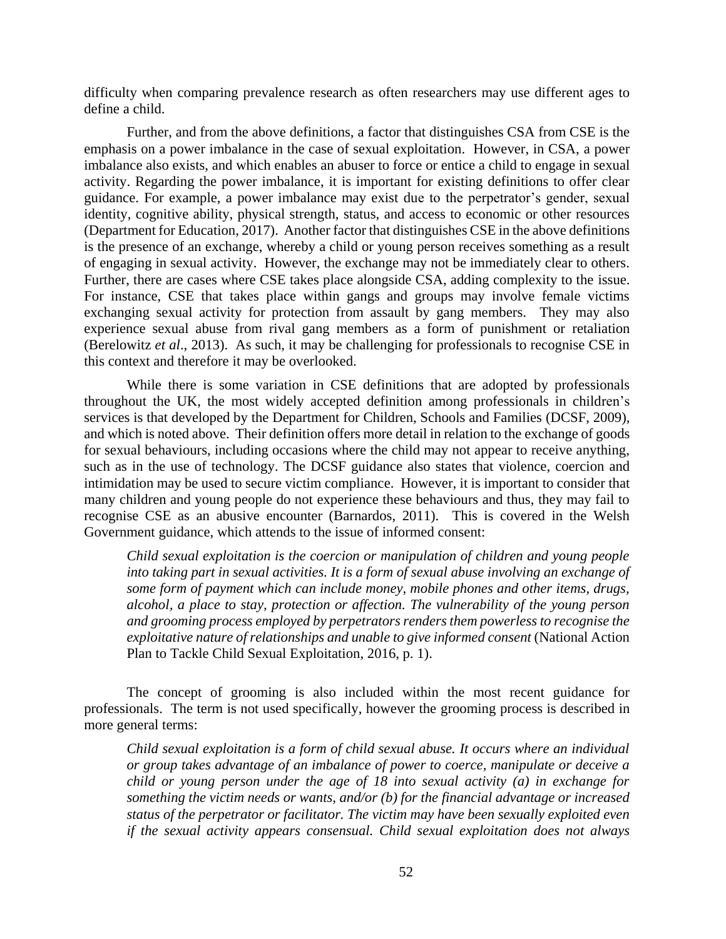difficulty when comparing prevalence research as often researchers may use different ages to define a child.

Further, and from the above definitions, a factor that distinguishes CSA from CSE is the emphasis on a power imbalance in the case of sexual exploitation. However, in CSA, a power imbalance also exists, and which enables an abuser to force or entice a child to engage in sexual activity. Regarding the power imbalance, it is important for existing definitions to offer clear guidance. For example, a power imbalance may exist due to the perpetrator's gender, sexual identity, cognitive ability, physical strength, status, and access to economic or other resources (Department for Education, 2017). Another factor that distinguishes CSE in the above definitions is the presence of an exchange, whereby a child or young person receives something as a result of engaging in sexual activity. However, the exchange may not be immediately clear to others. Further, there are cases where CSE takes place alongside CSA, adding complexity to the issue. For instance, CSE that takes place within gangs and groups may involve female victims exchanging sexual activity for protection from assault by gang members. They may also experience sexual abuse from rival gang members as a form of punishment or retaliation (Berelowitz *et al*., 2013). As such, it may be challenging for professionals to recognise CSE in this context and therefore it may be overlooked.

While there is some variation in CSE definitions that are adopted by professionals throughout the UK, the most widely accepted definition among professionals in children's services is that developed by the Department for Children, Schools and Families (DCSF, 2009), and which is noted above. Their definition offers more detail in relation to the exchange of goods for sexual behaviours, including occasions where the child may not appear to receive anything, such as in the use of technology. The DCSF guidance also states that violence, coercion and intimidation may be used to secure victim compliance. However, it is important to consider that many children and young people do not experience these behaviours and thus, they may fail to recognise CSE as an abusive encounter (Barnardos, 2011). This is covered in the Welsh Government guidance, which attends to the issue of informed consent:

*Child sexual exploitation is the coercion or manipulation of children and young people into taking part in sexual activities. It is a form of sexual abuse involving an exchange of some form of payment which can include money, mobile phones and other items, drugs, alcohol, a place to stay, protection or affection. The vulnerability of the young person and grooming process employed by perpetrators renders them powerless to recognise the exploitative nature of relationships and unable to give informed consent* (National Action Plan to Tackle Child Sexual Exploitation, 2016, p. 1).

The concept of grooming is also included within the most recent guidance for professionals. The term is not used specifically, however the grooming process is described in more general terms:

*Child sexual exploitation is a form of child sexual abuse. It occurs where an individual or group takes advantage of an imbalance of power to coerce, manipulate or deceive a child or young person under the age of 18 into sexual activity (a) in exchange for something the victim needs or wants, and/or (b) for the financial advantage or increased status of the perpetrator or facilitator. The victim may have been sexually exploited even if the sexual activity appears consensual. Child sexual exploitation does not always*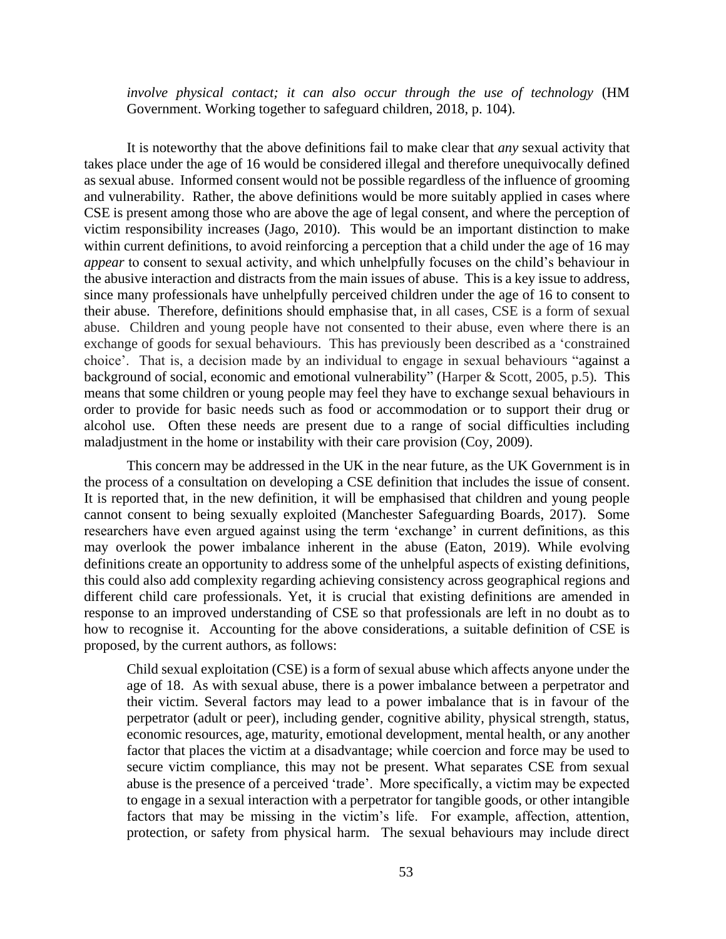*involve physical contact; it can also occur through the use of technology* (HM Government. Working together to safeguard children, 2018, p. 104)*.*

It is noteworthy that the above definitions fail to make clear that *any* sexual activity that takes place under the age of 16 would be considered illegal and therefore unequivocally defined as sexual abuse. Informed consent would not be possible regardless of the influence of grooming and vulnerability. Rather, the above definitions would be more suitably applied in cases where CSE is present among those who are above the age of legal consent, and where the perception of victim responsibility increases (Jago, 2010). This would be an important distinction to make within current definitions, to avoid reinforcing a perception that a child under the age of 16 may *appear* to consent to sexual activity, and which unhelpfully focuses on the child's behaviour in the abusive interaction and distracts from the main issues of abuse. This is a key issue to address, since many professionals have unhelpfully perceived children under the age of 16 to consent to their abuse. Therefore, definitions should emphasise that, in all cases, CSE is a form of sexual abuse. Children and young people have not consented to their abuse, even where there is an exchange of goods for sexual behaviours. This has previously been described as a 'constrained choice'. That is, a decision made by an individual to engage in sexual behaviours "against a background of social, economic and emotional vulnerability" (Harper & Scott, 2005, p.5)*.* This means that some children or young people may feel they have to exchange sexual behaviours in order to provide for basic needs such as food or accommodation or to support their drug or alcohol use. Often these needs are present due to a range of social difficulties including maladjustment in the home or instability with their care provision (Coy, 2009).

This concern may be addressed in the UK in the near future, as the UK Government is in the process of a consultation on developing a CSE definition that includes the issue of consent. It is reported that, in the new definition, it will be emphasised that children and young people cannot consent to being sexually exploited (Manchester Safeguarding Boards, 2017). Some researchers have even argued against using the term 'exchange' in current definitions, as this may overlook the power imbalance inherent in the abuse (Eaton, 2019). While evolving definitions create an opportunity to address some of the unhelpful aspects of existing definitions, this could also add complexity regarding achieving consistency across geographical regions and different child care professionals. Yet, it is crucial that existing definitions are amended in response to an improved understanding of CSE so that professionals are left in no doubt as to how to recognise it. Accounting for the above considerations, a suitable definition of CSE is proposed, by the current authors, as follows:

Child sexual exploitation (CSE) is a form of sexual abuse which affects anyone under the age of 18. As with sexual abuse, there is a power imbalance between a perpetrator and their victim. Several factors may lead to a power imbalance that is in favour of the perpetrator (adult or peer), including gender, cognitive ability, physical strength, status, economic resources, age, maturity, emotional development, mental health, or any another factor that places the victim at a disadvantage; while coercion and force may be used to secure victim compliance, this may not be present. What separates CSE from sexual abuse is the presence of a perceived 'trade'. More specifically, a victim may be expected to engage in a sexual interaction with a perpetrator for tangible goods, or other intangible factors that may be missing in the victim's life. For example, affection, attention, protection, or safety from physical harm. The sexual behaviours may include direct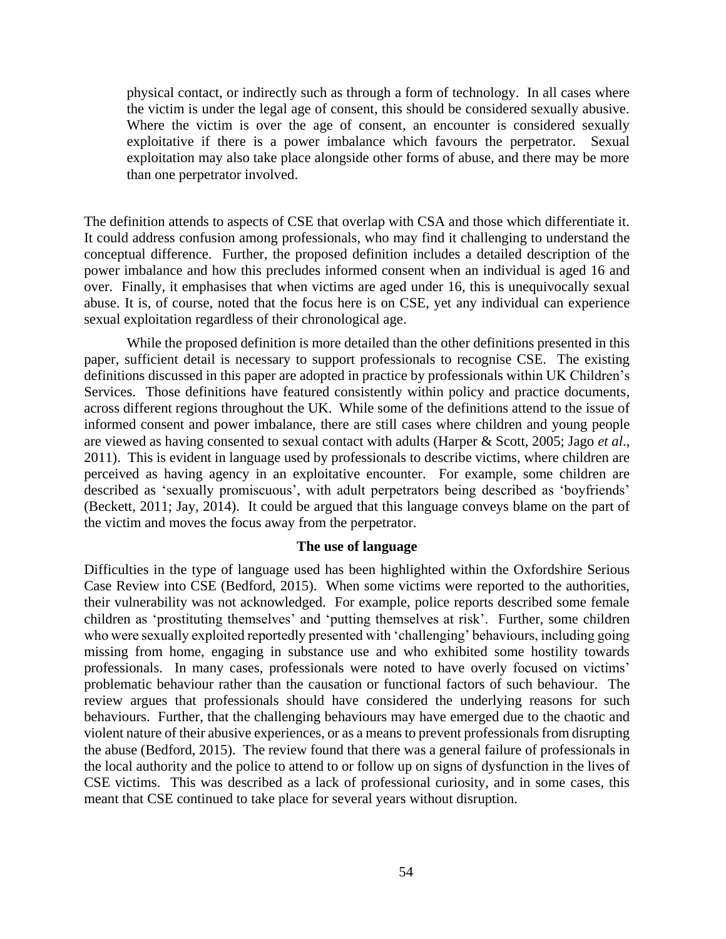physical contact, or indirectly such as through a form of technology. In all cases where the victim is under the legal age of consent, this should be considered sexually abusive. Where the victim is over the age of consent, an encounter is considered sexually exploitative if there is a power imbalance which favours the perpetrator. Sexual exploitation may also take place alongside other forms of abuse, and there may be more than one perpetrator involved.

The definition attends to aspects of CSE that overlap with CSA and those which differentiate it. It could address confusion among professionals, who may find it challenging to understand the conceptual difference. Further, the proposed definition includes a detailed description of the power imbalance and how this precludes informed consent when an individual is aged 16 and over. Finally, it emphasises that when victims are aged under 16, this is unequivocally sexual abuse. It is, of course, noted that the focus here is on CSE, yet any individual can experience sexual exploitation regardless of their chronological age.

While the proposed definition is more detailed than the other definitions presented in this paper, sufficient detail is necessary to support professionals to recognise CSE. The existing definitions discussed in this paper are adopted in practice by professionals within UK Children's Services. Those definitions have featured consistently within policy and practice documents, across different regions throughout the UK. While some of the definitions attend to the issue of informed consent and power imbalance, there are still cases where children and young people are viewed as having consented to sexual contact with adults (Harper & Scott, 2005; Jago *et al*., 2011). This is evident in language used by professionals to describe victims, where children are perceived as having agency in an exploitative encounter. For example, some children are described as 'sexually promiscuous', with adult perpetrators being described as 'boyfriends' (Beckett, 2011; Jay, 2014). It could be argued that this language conveys blame on the part of the victim and moves the focus away from the perpetrator.

## **The use of language**

Difficulties in the type of language used has been highlighted within the Oxfordshire Serious Case Review into CSE (Bedford, 2015). When some victims were reported to the authorities, their vulnerability was not acknowledged. For example, police reports described some female children as 'prostituting themselves' and 'putting themselves at risk'. Further, some children who were sexually exploited reportedly presented with 'challenging' behaviours, including going missing from home, engaging in substance use and who exhibited some hostility towards professionals. In many cases, professionals were noted to have overly focused on victims' problematic behaviour rather than the causation or functional factors of such behaviour. The review argues that professionals should have considered the underlying reasons for such behaviours. Further, that the challenging behaviours may have emerged due to the chaotic and violent nature of their abusive experiences, or as a means to prevent professionals from disrupting the abuse (Bedford, 2015). The review found that there was a general failure of professionals in the local authority and the police to attend to or follow up on signs of dysfunction in the lives of CSE victims. This was described as a lack of professional curiosity, and in some cases, this meant that CSE continued to take place for several years without disruption.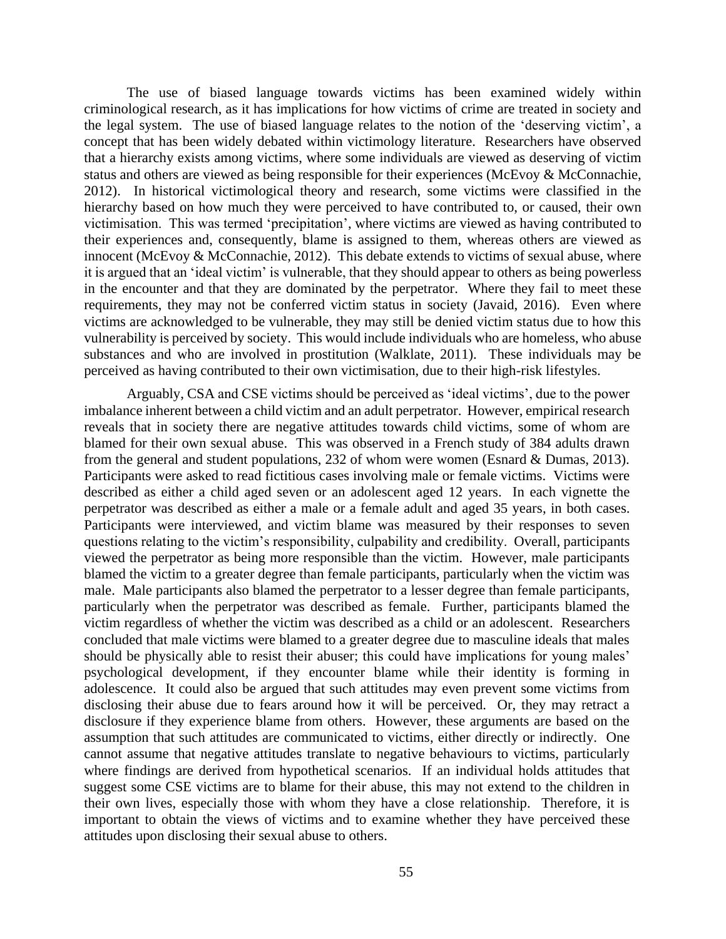The use of biased language towards victims has been examined widely within criminological research, as it has implications for how victims of crime are treated in society and the legal system. The use of biased language relates to the notion of the 'deserving victim', a concept that has been widely debated within victimology literature. Researchers have observed that a hierarchy exists among victims, where some individuals are viewed as deserving of victim status and others are viewed as being responsible for their experiences (McEvoy & McConnachie, 2012). In historical victimological theory and research, some victims were classified in the hierarchy based on how much they were perceived to have contributed to, or caused, their own victimisation. This was termed 'precipitation', where victims are viewed as having contributed to their experiences and, consequently, blame is assigned to them, whereas others are viewed as innocent (McEvoy & McConnachie, 2012). This debate extends to victims of sexual abuse, where it is argued that an 'ideal victim' is vulnerable, that they should appear to others as being powerless in the encounter and that they are dominated by the perpetrator. Where they fail to meet these requirements, they may not be conferred victim status in society (Javaid, 2016). Even where victims are acknowledged to be vulnerable, they may still be denied victim status due to how this vulnerability is perceived by society. This would include individuals who are homeless, who abuse substances and who are involved in prostitution (Walklate, 2011). These individuals may be perceived as having contributed to their own victimisation, due to their high-risk lifestyles.

Arguably, CSA and CSE victims should be perceived as 'ideal victims', due to the power imbalance inherent between a child victim and an adult perpetrator. However, empirical research reveals that in society there are negative attitudes towards child victims, some of whom are blamed for their own sexual abuse. This was observed in a French study of 384 adults drawn from the general and student populations, 232 of whom were women (Esnard & Dumas, 2013). Participants were asked to read fictitious cases involving male or female victims. Victims were described as either a child aged seven or an adolescent aged 12 years. In each vignette the perpetrator was described as either a male or a female adult and aged 35 years, in both cases. Participants were interviewed, and victim blame was measured by their responses to seven questions relating to the victim's responsibility, culpability and credibility. Overall, participants viewed the perpetrator as being more responsible than the victim. However, male participants blamed the victim to a greater degree than female participants, particularly when the victim was male. Male participants also blamed the perpetrator to a lesser degree than female participants, particularly when the perpetrator was described as female. Further, participants blamed the victim regardless of whether the victim was described as a child or an adolescent. Researchers concluded that male victims were blamed to a greater degree due to masculine ideals that males should be physically able to resist their abuser; this could have implications for young males' psychological development, if they encounter blame while their identity is forming in adolescence. It could also be argued that such attitudes may even prevent some victims from disclosing their abuse due to fears around how it will be perceived. Or, they may retract a disclosure if they experience blame from others. However, these arguments are based on the assumption that such attitudes are communicated to victims, either directly or indirectly. One cannot assume that negative attitudes translate to negative behaviours to victims, particularly where findings are derived from hypothetical scenarios. If an individual holds attitudes that suggest some CSE victims are to blame for their abuse, this may not extend to the children in their own lives, especially those with whom they have a close relationship. Therefore, it is important to obtain the views of victims and to examine whether they have perceived these attitudes upon disclosing their sexual abuse to others.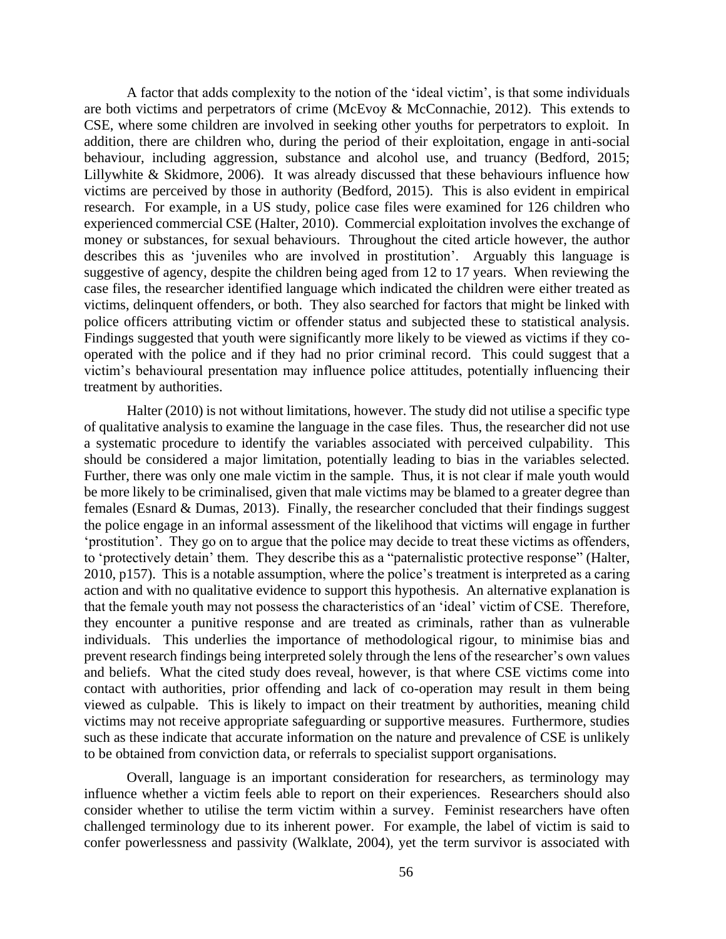A factor that adds complexity to the notion of the 'ideal victim', is that some individuals are both victims and perpetrators of crime (McEvoy & McConnachie, 2012). This extends to CSE, where some children are involved in seeking other youths for perpetrators to exploit. In addition, there are children who, during the period of their exploitation, engage in anti-social behaviour, including aggression, substance and alcohol use, and truancy (Bedford, 2015; Lillywhite & Skidmore, 2006). It was already discussed that these behaviours influence how victims are perceived by those in authority (Bedford, 2015). This is also evident in empirical research. For example, in a US study, police case files were examined for 126 children who experienced commercial CSE (Halter, 2010). Commercial exploitation involves the exchange of money or substances, for sexual behaviours. Throughout the cited article however, the author describes this as 'juveniles who are involved in prostitution'. Arguably this language is suggestive of agency, despite the children being aged from 12 to 17 years. When reviewing the case files, the researcher identified language which indicated the children were either treated as victims, delinquent offenders, or both. They also searched for factors that might be linked with police officers attributing victim or offender status and subjected these to statistical analysis. Findings suggested that youth were significantly more likely to be viewed as victims if they cooperated with the police and if they had no prior criminal record. This could suggest that a victim's behavioural presentation may influence police attitudes, potentially influencing their treatment by authorities.

Halter (2010) is not without limitations, however. The study did not utilise a specific type of qualitative analysis to examine the language in the case files. Thus, the researcher did not use a systematic procedure to identify the variables associated with perceived culpability. This should be considered a major limitation, potentially leading to bias in the variables selected. Further, there was only one male victim in the sample. Thus, it is not clear if male youth would be more likely to be criminalised, given that male victims may be blamed to a greater degree than females (Esnard & Dumas, 2013). Finally, the researcher concluded that their findings suggest the police engage in an informal assessment of the likelihood that victims will engage in further 'prostitution'. They go on to argue that the police may decide to treat these victims as offenders, to 'protectively detain' them. They describe this as a "paternalistic protective response" (Halter, 2010, p157). This is a notable assumption, where the police's treatment is interpreted as a caring action and with no qualitative evidence to support this hypothesis. An alternative explanation is that the female youth may not possess the characteristics of an 'ideal' victim of CSE. Therefore, they encounter a punitive response and are treated as criminals, rather than as vulnerable individuals. This underlies the importance of methodological rigour, to minimise bias and prevent research findings being interpreted solely through the lens of the researcher's own values and beliefs. What the cited study does reveal, however, is that where CSE victims come into contact with authorities, prior offending and lack of co-operation may result in them being viewed as culpable. This is likely to impact on their treatment by authorities, meaning child victims may not receive appropriate safeguarding or supportive measures. Furthermore, studies such as these indicate that accurate information on the nature and prevalence of CSE is unlikely to be obtained from conviction data, or referrals to specialist support organisations.

Overall, language is an important consideration for researchers, as terminology may influence whether a victim feels able to report on their experiences. Researchers should also consider whether to utilise the term victim within a survey. Feminist researchers have often challenged terminology due to its inherent power. For example, the label of victim is said to confer powerlessness and passivity (Walklate, 2004), yet the term survivor is associated with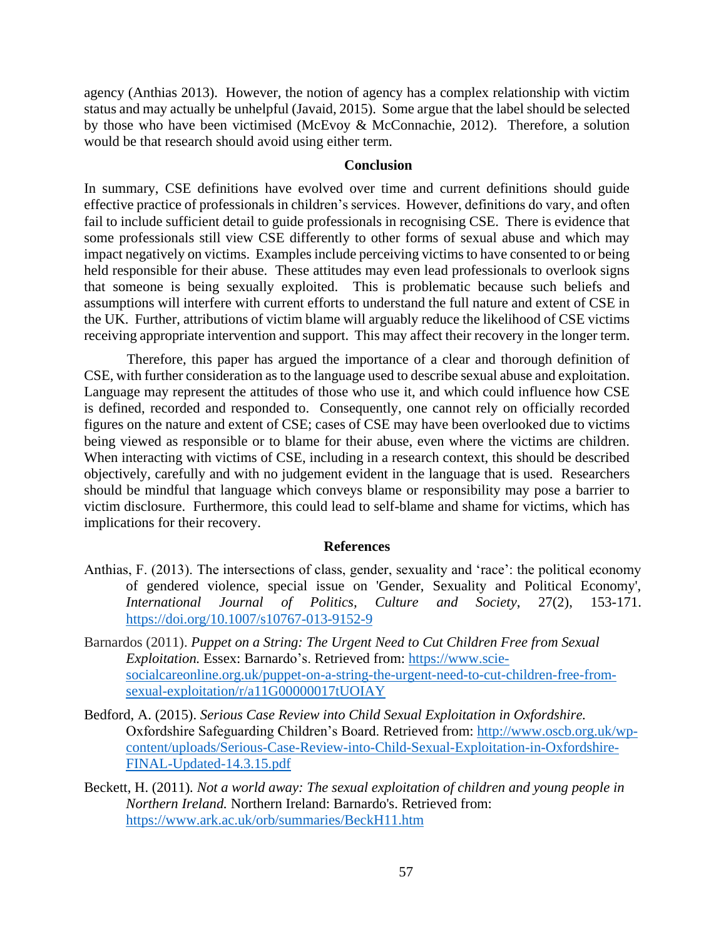agency (Anthias 2013). However, the notion of agency has a complex relationship with victim status and may actually be unhelpful (Javaid, 2015). Some argue that the label should be selected by those who have been victimised (McEvoy & McConnachie, 2012). Therefore, a solution would be that research should avoid using either term.

#### **Conclusion**

In summary, CSE definitions have evolved over time and current definitions should guide effective practice of professionals in children's services. However, definitions do vary, and often fail to include sufficient detail to guide professionals in recognising CSE. There is evidence that some professionals still view CSE differently to other forms of sexual abuse and which may impact negatively on victims. Examples include perceiving victims to have consented to or being held responsible for their abuse. These attitudes may even lead professionals to overlook signs that someone is being sexually exploited. This is problematic because such beliefs and assumptions will interfere with current efforts to understand the full nature and extent of CSE in the UK. Further, attributions of victim blame will arguably reduce the likelihood of CSE victims receiving appropriate intervention and support. This may affect their recovery in the longer term.

Therefore, this paper has argued the importance of a clear and thorough definition of CSE, with further consideration as to the language used to describe sexual abuse and exploitation. Language may represent the attitudes of those who use it, and which could influence how CSE is defined, recorded and responded to. Consequently, one cannot rely on officially recorded figures on the nature and extent of CSE; cases of CSE may have been overlooked due to victims being viewed as responsible or to blame for their abuse, even where the victims are children. When interacting with victims of CSE, including in a research context, this should be described objectively, carefully and with no judgement evident in the language that is used. Researchers should be mindful that language which conveys blame or responsibility may pose a barrier to victim disclosure. Furthermore, this could lead to self-blame and shame for victims, which has implications for their recovery.

## **References**

- Anthias, F. (2013). The intersections of class, gender, sexuality and 'race': the political economy of gendered violence, special issue on 'Gender, Sexuality and Political Economy', *International Journal of Politics, Culture and Society*, 27(2), 153-171. <https://doi.org/10.1007/s10767-013-9152-9>
- Barnardos (2011). *Puppet on a String: The Urgent Need to Cut Children Free from Sexual Exploitation.* Essex: Barnardo's. Retrieved from: [https://www.scie](https://www.scie-socialcareonline.org.uk/puppet-on-a-string-the-urgent-need-to-cut-children-free-from-sexual-exploitation/r/a11G00000017tUOIAY)[socialcareonline.org.uk/puppet-on-a-string-the-urgent-need-to-cut-children-free-from](https://www.scie-socialcareonline.org.uk/puppet-on-a-string-the-urgent-need-to-cut-children-free-from-sexual-exploitation/r/a11G00000017tUOIAY)[sexual-exploitation/r/a11G00000017tUOIAY](https://www.scie-socialcareonline.org.uk/puppet-on-a-string-the-urgent-need-to-cut-children-free-from-sexual-exploitation/r/a11G00000017tUOIAY)
- Bedford, A. (2015). *Serious Case Review into Child Sexual Exploitation in Oxfordshire.* Oxfordshire Safeguarding Children's Board. Retrieved from: [http://www.oscb.org.uk/wp](http://www.oscb.org.uk/wp-content/uploads/Serious-Case-Review-into-Child-Sexual-Exploitation-in-Oxfordshire-FINAL-Updated-14.3.15.pdf)[content/uploads/Serious-Case-Review-into-Child-Sexual-Exploitation-in-Oxfordshire-](http://www.oscb.org.uk/wp-content/uploads/Serious-Case-Review-into-Child-Sexual-Exploitation-in-Oxfordshire-FINAL-Updated-14.3.15.pdf)[FINAL-Updated-14.3.15.pdf](http://www.oscb.org.uk/wp-content/uploads/Serious-Case-Review-into-Child-Sexual-Exploitation-in-Oxfordshire-FINAL-Updated-14.3.15.pdf)
- Beckett, H. (2011)*. Not a world away: The sexual exploitation of children and young people in Northern Ireland.* Northern Ireland: Barnardo's. Retrieved from: <https://www.ark.ac.uk/orb/summaries/BeckH11.htm>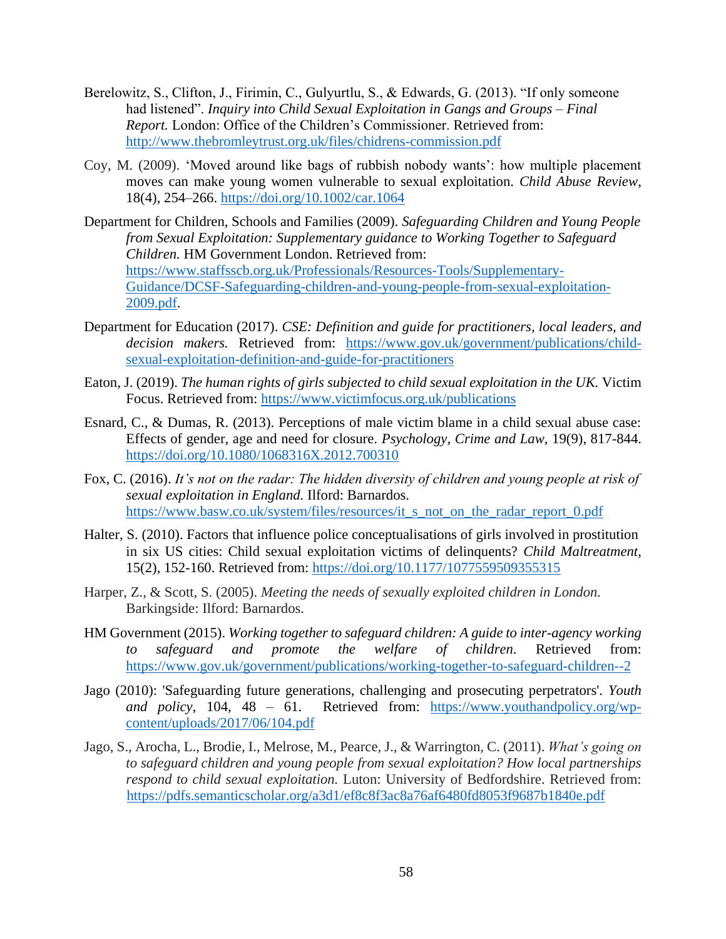- Berelowitz, S., Clifton, J., Firimin, C., Gulyurtlu, S., & Edwards, G. (2013). "If only someone had listened". *Inquiry into Child Sexual Exploitation in Gangs and Groups – Final Report.* London: Office of the Children's Commissioner. Retrieved from: <http://www.thebromleytrust.org.uk/files/chidrens-commission.pdf>
- Coy, M. (2009). 'Moved around like bags of rubbish nobody wants': how multiple placement moves can make young women vulnerable to sexual exploitation. *Child Abuse Review*, 18(4), 254–266. <https://doi.org/10.1002/car.1064>
- Department for Children, Schools and Families (2009). *Safeguarding Children and Young People from Sexual Exploitation: Supplementary guidance to Working Together to Safeguard Children.* HM Government London. Retrieved from: [https://www.staffsscb.org.uk/Professionals/Resources-Tools/Supplementary-](https://www.staffsscb.org.uk/Professionals/Resources-Tools/Supplementary-Guidance/DCSF-Safeguarding-children-and-young-people-from-sexual-exploitation-2009.pdf)[Guidance/DCSF-Safeguarding-children-and-young-people-from-sexual-exploitation-](https://www.staffsscb.org.uk/Professionals/Resources-Tools/Supplementary-Guidance/DCSF-Safeguarding-children-and-young-people-from-sexual-exploitation-2009.pdf)[2009.pdf.](https://www.staffsscb.org.uk/Professionals/Resources-Tools/Supplementary-Guidance/DCSF-Safeguarding-children-and-young-people-from-sexual-exploitation-2009.pdf)
- Department for Education (2017). *CSE: Definition and guide for practitioners, local leaders, and decision makers.* Retrieved from: [https://www.gov.uk/government/publications/child](https://www.gov.uk/government/publications/child-sexual-exploitation-definition-and-guide-for-practitioners)[sexual-exploitation-definition-and-guide-for-practitioners](https://www.gov.uk/government/publications/child-sexual-exploitation-definition-and-guide-for-practitioners)
- Eaton, J. (2019). *The human rights of girls subjected to child sexual exploitation in the UK.* Victim Focus. Retrieved from: <https://www.victimfocus.org.uk/publications>
- Esnard, C., & Dumas, R. (2013). Perceptions of male victim blame in a child sexual abuse case: Effects of gender, age and need for closure. *Psychology, Crime and Law*, 19(9), 817-844. <https://doi.org/10.1080/1068316X.2012.700310>
- Fox, C. (2016). *It's not on the radar: The hidden diversity of children and young people at risk of sexual exploitation in England.* Ilford: Barnardos. [https://www.basw.co.uk/system/files/resources/it\\_s\\_not\\_on\\_the\\_radar\\_report\\_0.pdf](https://www.basw.co.uk/system/files/resources/it_s_not_on_the_radar_report_0.pdf)
- Halter, S. (2010). Factors that influence police conceptualisations of girls involved in prostitution in six US cities: Child sexual exploitation victims of delinquents? *Child Maltreatment*, 15(2), 152-160. Retrieved from: <https://doi.org/10.1177/1077559509355315>
- Harper, Z., & Scott, S. (2005). *Meeting the needs of sexually exploited children in London.* Barkingside: Ilford: Barnardos.
- HM Government (2015). *Working together to safeguard children: A guide to inter-agency working to safeguard and promote the welfare of children.* Retrieved from: <https://www.gov.uk/government/publications/working-together-to-safeguard-children--2>
- Jago (2010): 'Safeguarding future generations, challenging and prosecuting perpetrators'. *Youth and policy*, 104, 48 – 61. Retrieved from: [https://www.youthandpolicy.org/wp](https://www.youthandpolicy.org/wp-content/uploads/2017/06/104.pdf)[content/uploads/2017/06/104.pdf](https://www.youthandpolicy.org/wp-content/uploads/2017/06/104.pdf)
- Jago, S., Arocha, L., Brodie, I., Melrose, M., Pearce, J., & Warrington, C. (2011). *What's going on to safeguard children and young people from sexual exploitation? How local partnerships respond to child sexual exploitation.* Luton: University of Bedfordshire. Retrieved from: <https://pdfs.semanticscholar.org/a3d1/ef8c8f3ac8a76af6480fd8053f9687b1840e.pdf>